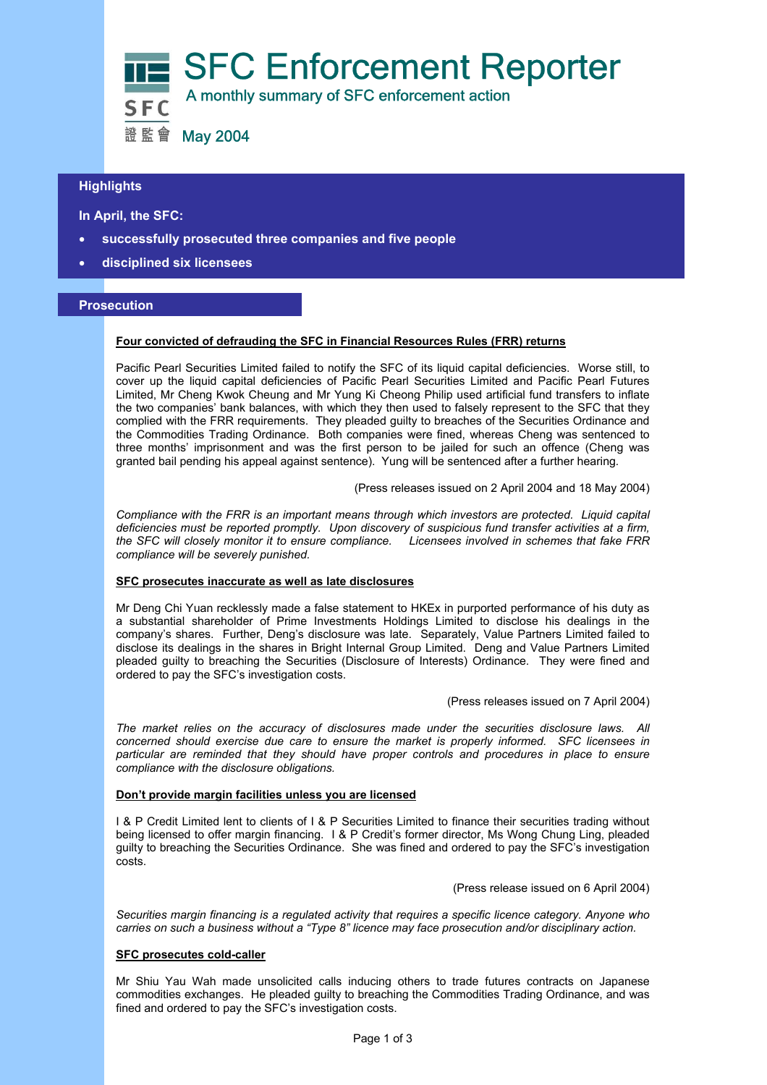

# **Highlights**

# **In April, the SFC:**

- **successfully prosecuted three companies and five people**
- **disciplined six licensees**

# **Prosecution**

### **Four convicted of defrauding the SFC in Financial Resources Rules (FRR) returns**

Pacific Pearl Securities Limited failed to notify the SFC of its liquid capital deficiencies. Worse still, to cover up the liquid capital deficiencies of Pacific Pearl Securities Limited and Pacific Pearl Futures Limited, Mr Cheng Kwok Cheung and Mr Yung Ki Cheong Philip used artificial fund transfers to inflate the two companies' bank balances, with which they then used to falsely represent to the SFC that they complied with the FRR requirements. They pleaded guilty to breaches of the Securities Ordinance and the Commodities Trading Ordinance. Both companies were fined, whereas Cheng was sentenced to three months' imprisonment and was the first person to be jailed for such an offence (Cheng was granted bail pending his appeal against sentence). Yung will be sentenced after a further hearing*.*

(Press releases issued on 2 April 2004 and 18 May 2004)

*Compliance with the FRR is an important means through which investors are protected. Liquid capital deficiencies must be reported promptly. Upon discovery of suspicious fund transfer activities at a firm, the SFC will closely monitor it to ensure compliance. Licensees involved in schemes that fake FRR compliance will be severely punished.* 

### **SFC prosecutes inaccurate as well as late disclosures**

Mr Deng Chi Yuan recklessly made a false statement to HKEx in purported performance of his duty as a substantial shareholder of Prime Investments Holdings Limited to disclose his dealings in the company's shares. Further, Deng's disclosure was late. Separately, Value Partners Limited failed to disclose its dealings in the shares in Bright Internal Group Limited. Deng and Value Partners Limited pleaded guilty to breaching the Securities (Disclosure of Interests) Ordinance. They were fined and ordered to pay the SFC's investigation costs.

(Press releases issued on 7 April 2004)

*The market relies on the accuracy of disclosures made under the securities disclosure laws. All concerned should exercise due care to ensure the market is properly informed. SFC licensees in particular are reminded that they should have proper controls and procedures in place to ensure compliance with the disclosure obligations.*

## **Don't provide margin facilities unless you are licensed**

I & P Credit Limited lent to clients of I & P Securities Limited to finance their securities trading without being licensed to offer margin financing. I & P Credit's former director, Ms Wong Chung Ling, pleaded guilty to breaching the Securities Ordinance. She was fined and ordered to pay the SFC's investigation costs.

(Press release issued on 6 April 2004)

*Securities margin financing is a regulated activity that requires a specific licence category. Anyone who carries on such a business without a "Type 8" licence may face prosecution and/or disciplinary action.* 

## **SFC prosecutes cold-caller**

Mr Shiu Yau Wah made unsolicited calls inducing others to trade futures contracts on Japanese commodities exchanges. He pleaded guilty to breaching the Commodities Trading Ordinance, and was fined and ordered to pay the SFC's investigation costs.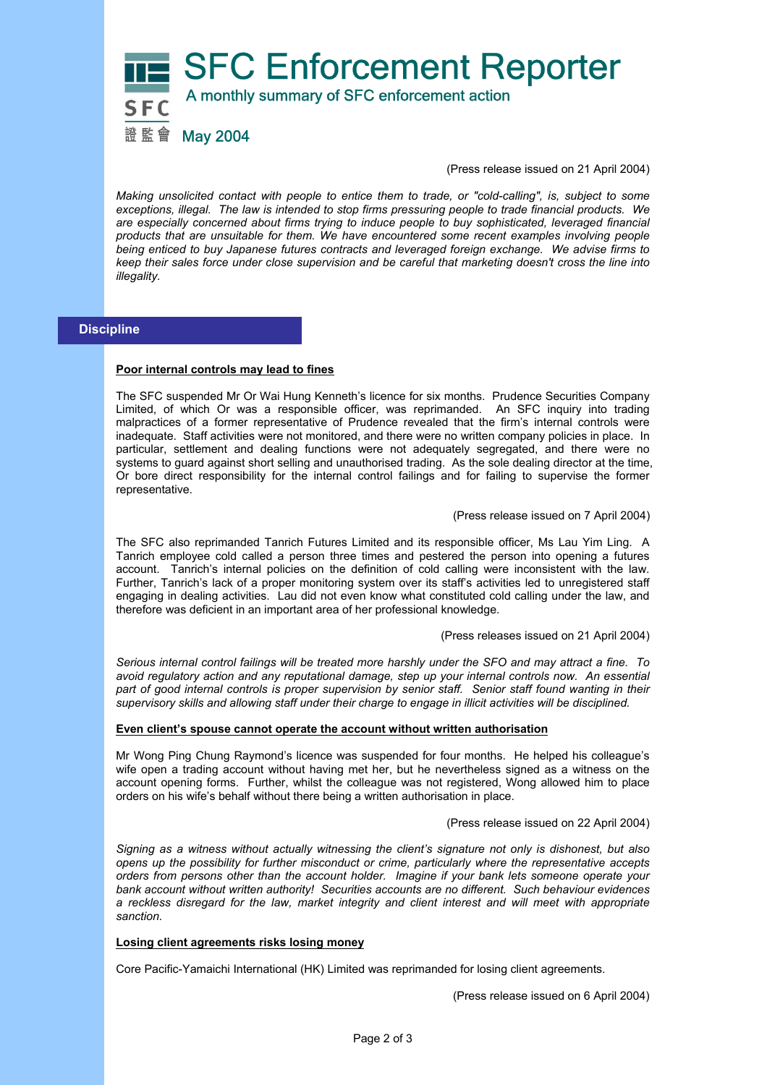

(Press release issued on 21 April 2004)

*Making unsolicited contact with people to entice them to trade, or "cold-calling", is, subject to some exceptions, illegal. The law is intended to stop firms pressuring people to trade financial products. We are especially concerned about firms trying to induce people to buy sophisticated, leveraged financial products that are unsuitable for them. We have encountered some recent examples involving people being enticed to buy Japanese futures contracts and leveraged foreign exchange. We advise firms to keep their sales force under close supervision and be careful that marketing doesn't cross the line into illegality.* 

# **Discipline**

## **Poor internal controls may lead to fines**

The SFC suspended Mr Or Wai Hung Kenneth's licence for six months. Prudence Securities Company Limited, of which Or was a responsible officer, was reprimanded. An SFC inquiry into trading malpractices of a former representative of Prudence revealed that the firm's internal controls were inadequate. Staff activities were not monitored, and there were no written company policies in place. In particular, settlement and dealing functions were not adequately segregated, and there were no systems to guard against short selling and unauthorised trading. As the sole dealing director at the time, Or bore direct responsibility for the internal control failings and for failing to supervise the former representative.

(Press release issued on 7 April 2004)

The SFC also reprimanded Tanrich Futures Limited and its responsible officer, Ms Lau Yim Ling. A Tanrich employee cold called a person three times and pestered the person into opening a futures account. Tanrich's internal policies on the definition of cold calling were inconsistent with the law. Further, Tanrich's lack of a proper monitoring system over its staff's activities led to unregistered staff engaging in dealing activities. Lau did not even know what constituted cold calling under the law, and therefore was deficient in an important area of her professional knowledge.

## (Press releases issued on 21 April 2004)

*Serious internal control failings will be treated more harshly under the SFO and may attract a fine. To avoid regulatory action and any reputational damage, step up your internal controls now. An essential part of good internal controls is proper supervision by senior staff. Senior staff found wanting in their supervisory skills and allowing staff under their charge to engage in illicit activities will be disciplined.*

## **Even client's spouse cannot operate the account without written authorisation**

Mr Wong Ping Chung Raymond's licence was suspended for four months. He helped his colleague's wife open a trading account without having met her, but he nevertheless signed as a witness on the account opening forms. Further, whilst the colleague was not registered, Wong allowed him to place orders on his wife's behalf without there being a written authorisation in place.

### (Press release issued on 22 April 2004)

*Signing as a witness without actually witnessing the client's signature not only is dishonest, but also opens up the possibility for further misconduct or crime, particularly where the representative accepts orders from persons other than the account holder. Imagine if your bank lets someone operate your bank account without written authority! Securities accounts are no different. Such behaviour evidences a reckless disregard for the law, market integrity and client interest and will meet with appropriate sanction.* 

### **Losing client agreements risks losing money**

Core Pacific-Yamaichi International (HK) Limited was reprimanded for losing client agreements.

(Press release issued on 6 April 2004)